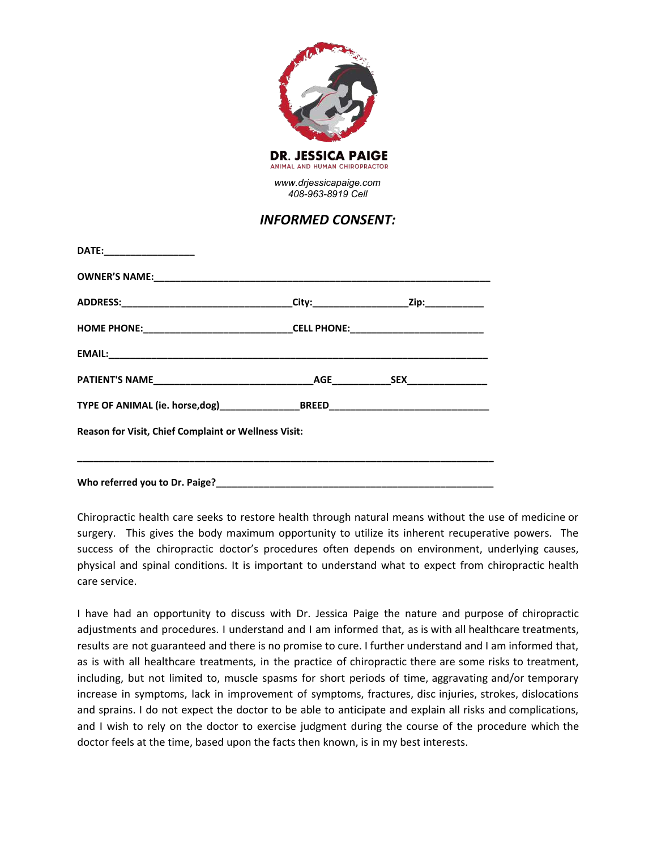

## *INFORMED CONSENT:*

| DATE:____________________                                                        |  |
|----------------------------------------------------------------------------------|--|
|                                                                                  |  |
|                                                                                  |  |
| HOME PHONE:___________________________________CELL PHONE:_______________________ |  |
|                                                                                  |  |
|                                                                                  |  |
|                                                                                  |  |
| Reason for Visit, Chief Complaint or Wellness Visit:                             |  |
|                                                                                  |  |
|                                                                                  |  |

Chiropractic health care seeks to restore health through natural means without the use of medicine or surgery. This gives the body maximum opportunity to utilize its inherent recuperative powers. The success of the chiropractic doctor's procedures often depends on environment, underlying causes, physical and spinal conditions. It is important to understand what to expect from chiropractic health care service.

I have had an opportunity to discuss with Dr. Jessica Paige the nature and purpose of chiropractic adjustments and procedures. I understand and I am informed that, as is with all healthcare treatments, results are not guaranteed and there is no promise to cure. I further understand and I am informed that, as is with all healthcare treatments, in the practice of chiropractic there are some risks to treatment, including, but not limited to, muscle spasms for short periods of time, aggravating and/or temporary increase in symptoms, lack in improvement of symptoms, fractures, disc injuries, strokes, dislocations and sprains. I do not expect the doctor to be able to anticipate and explain all risks and complications, and I wish to rely on the doctor to exercise judgment during the course of the procedure which the doctor feels at the time, based upon the facts then known, is in my best interests.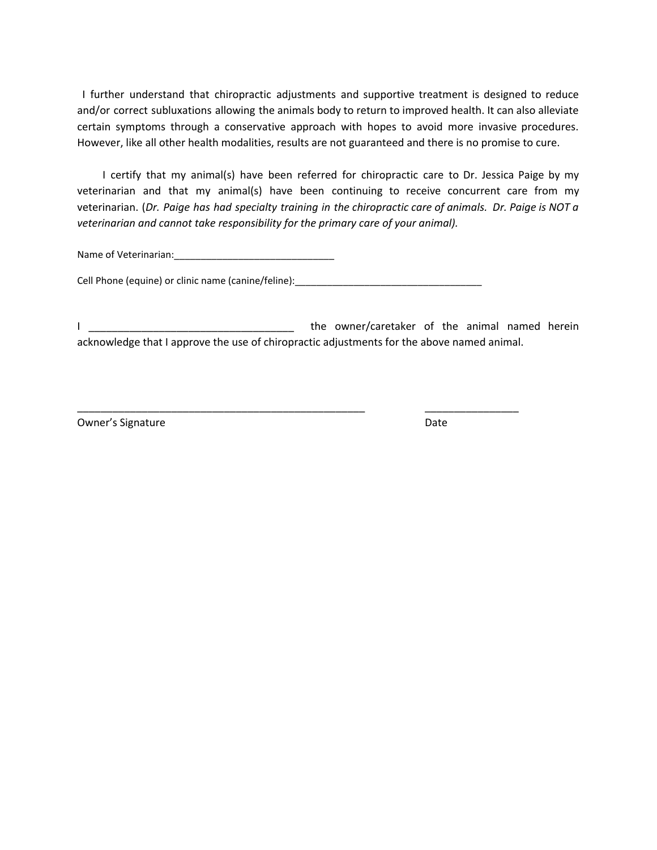I further understand that chiropractic adjustments and supportive treatment is designed to reduce and/or correct subluxations allowing the animals body to return to improved health. It can also alleviate certain symptoms through a conservative approach with hopes to avoid more invasive procedures. However, like all other health modalities, results are not guaranteed and there is no promise to cure.

I certify that my animal(s) have been referred for chiropractic care to Dr. Jessica Paige by my veterinarian and that my animal(s) have been continuing to receive concurrent care from my veterinarian. (Dr. Paige has had specialty training in the chiropractic care of animals. Dr. Paige is NOT a *veterinarian and cannot take responsibility for the primary care of your animal).*

Name of Veterinarian:\_\_\_\_\_\_\_\_\_\_\_\_\_\_\_\_\_\_\_\_\_\_\_\_\_\_\_\_\_\_

Cell Phone (equine) or clinic name (canine/feline): \_\_\_\_\_\_\_\_\_\_\_\_\_\_\_\_\_\_\_\_\_\_\_\_\_\_\_\_

\_\_\_\_\_\_\_\_\_\_\_\_\_\_\_\_\_\_\_\_\_\_\_\_\_\_\_\_\_\_\_\_\_\_\_\_\_\_\_\_\_\_\_\_\_\_\_\_\_ \_\_\_\_\_\_\_\_\_\_\_\_\_\_\_\_

I \_\_\_\_\_\_\_\_\_\_\_\_\_\_\_\_\_\_\_\_\_\_\_\_\_\_\_\_\_\_\_\_\_\_\_ the owner/caretaker of the animal named herein acknowledge that I approve the use of chiropractic adjustments for the above named animal.

Owner's Signature Date Date